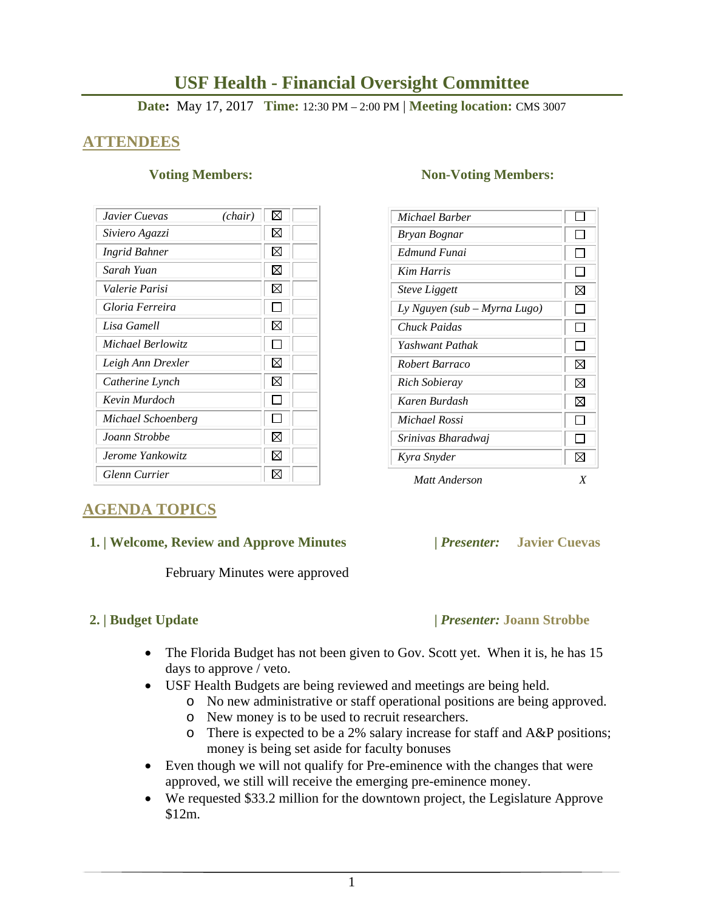# **USF Health - Financial Oversight Committee**

**Date:** May 17, 2017 **Time:** 12:30 PM – 2:00 PM | **Meeting location:** CMS 3007

## **ATTENDEES**

| Javier Cuevas<br>(chair) | ⊠  |
|--------------------------|----|
| Siviero Agazzi           | ⊠  |
| Ingrid Bahner            | ⊠  |
| Sarah Yuan               | X  |
| Valerie Parisi           | X  |
| Gloria Ferreira          |    |
| Lisa Gamell              | X  |
| Michael Berlowitz        |    |
| Leigh Ann Drexler        | X  |
| Catherine Lynch          | ⊠  |
| Kevin Murdoch            |    |
| Michael Schoenberg       |    |
| Joann Strobbe            | X  |
| Jerome Yankowitz         | ⋈  |
| <b>Glenn Currier</b>     | IХ |

### **Voting Members:** Non-Voting Members:

| Michael Barber               |   |
|------------------------------|---|
| Bryan Bognar                 |   |
| Edmund Funai                 |   |
| Kim Harris                   |   |
| <b>Steve Liggett</b>         | ⊠ |
| Ly Nguyen (sub – Myrna Lugo) |   |
| Chuck Paidas                 |   |
| Yashwant Pathak              |   |
| Robert Barraco               | ⊠ |
| Rich Sobieray                | ⊠ |
| Karen Burdash                | ⊠ |
| Michael Rossi                |   |
| Srinivas Bharadwaj           |   |
| Kyra Snyder                  | ⋈ |
| Matt Anderson                |   |

## **AGENDA TOPICS**

### **1. | Welcome, Review and Approve Minutes****|** *Presenter:* **Javier Cuevas**

February Minutes were approved

## **2. | Budget Update |** *Presenter:* **Joann Strobbe**

- The Florida Budget has not been given to Gov. Scott yet. When it is, he has 15 days to approve / veto.
- USF Health Budgets are being reviewed and meetings are being held.
	- o No new administrative or staff operational positions are being approved.
	- o New money is to be used to recruit researchers.
	- o There is expected to be a 2% salary increase for staff and A&P positions; money is being set aside for faculty bonuses
- Even though we will not qualify for Pre-eminence with the changes that were approved, we still will receive the emerging pre-eminence money.
- We requested \$33.2 million for the downtown project, the Legislature Approve \$12m.

1